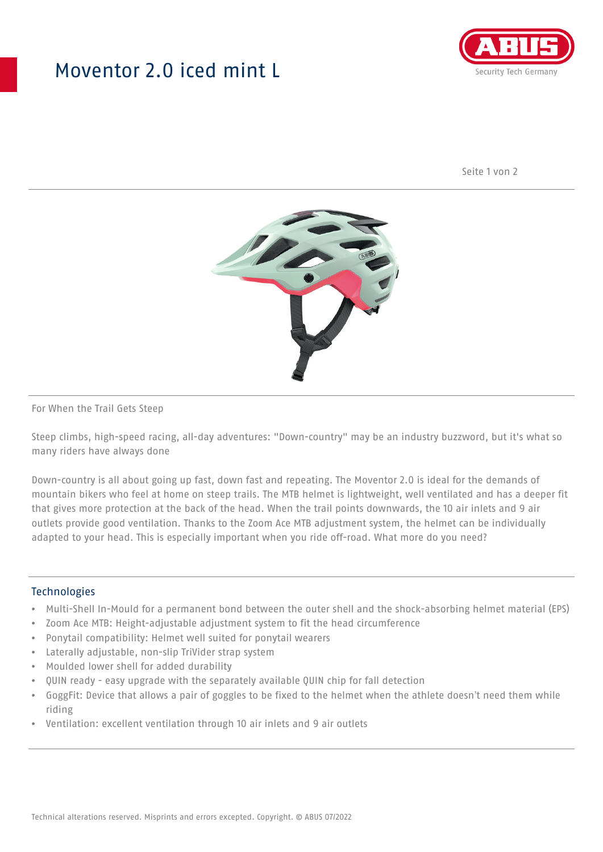## Moventor 2.0 iced mint L



Seite 1 von 2



#### For When the Trail Gets Steep

Steep climbs, high-speed racing, all-day adventures: "Down-country" may be an industry buzzword, but it's what so many riders have always done

Down-country is all about going up fast, down fast and repeating. The Moventor 2.0 is ideal for the demands of mountain bikers who feel at home on steep trails. The MTB helmet is lightweight, well ventilated and has a deeper fit that gives more protection at the back of the head. When the trail points downwards, the 10 air inlets and 9 air outlets provide good ventilation. Thanks to the Zoom Ace MTB adjustment system, the helmet can be individually adapted to your head. This is especially important when you ride off-road. What more do you need?

#### **Technologies**

- Multi-Shell In-Mould for a permanent bond between the outer shell and the shock-absorbing helmet material (EPS)
- Zoom Ace MTB: Height-adjustable adjustment system to fit the head circumference
- Ponytail compatibility: Helmet well suited for ponytail wearers
- Laterally adjustable, non-slip TriVider strap system
- Moulded lower shell for added durability
- QUIN ready easy upgrade with the separately available QUIN chip for fall detection
- GoggFit: Device that allows a pair of goggles to be fixed to the helmet when the athlete doesn't need them while riding
- Ventilation: excellent ventilation through 10 air inlets and 9 air outlets